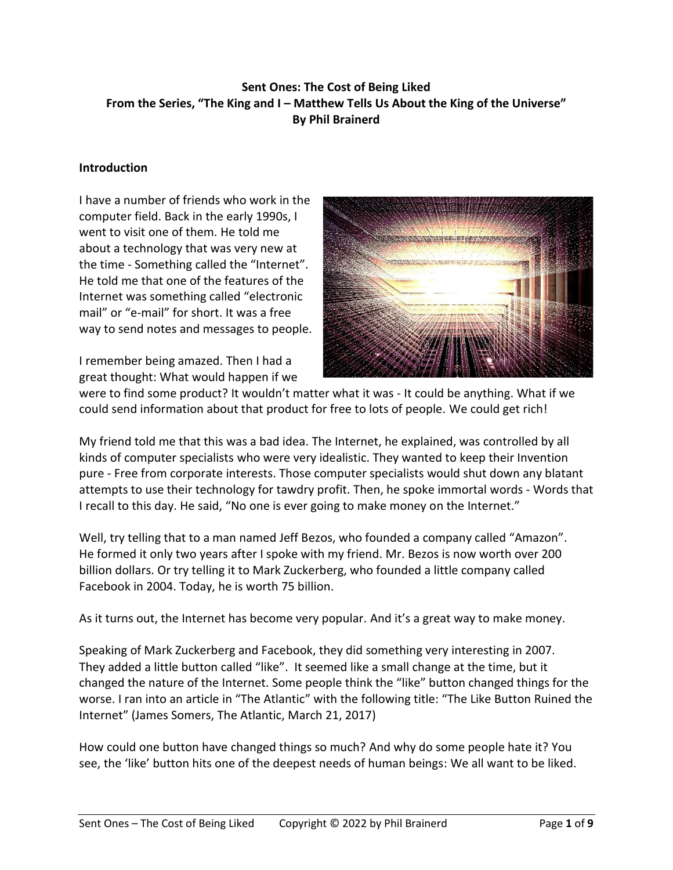# **Sent Ones: The Cost of Being Liked From the Series, "The King and I – Matthew Tells Us About the King of the Universe" By Phil Brainerd**

#### **Introduction**

I have a number of friends who work in the computer field. Back in the early 1990s, I went to visit one of them. He told me about a technology that was very new at the time - Something called the "Internet". He told me that one of the features of the Internet was something called "electronic mail" or "e-mail" for short. It was a free way to send notes and messages to people.

I remember being amazed. Then I had a great thought: What would happen if we



were to find some product? It wouldn't matter what it was - It could be anything. What if we could send information about that product for free to lots of people. We could get rich!

My friend told me that this was a bad idea. The Internet, he explained, was controlled by all kinds of computer specialists who were very idealistic. They wanted to keep their Invention pure - Free from corporate interests. Those computer specialists would shut down any blatant attempts to use their technology for tawdry profit. Then, he spoke immortal words - Words that I recall to this day. He said, "No one is ever going to make money on the Internet."

Well, try telling that to a man named Jeff Bezos, who founded a company called "Amazon". He formed it only two years after I spoke with my friend. Mr. Bezos is now worth over 200 billion dollars. Or try telling it to Mark Zuckerberg, who founded a little company called Facebook in 2004. Today, he is worth 75 billion.

As it turns out, the Internet has become very popular. And it's a great way to make money.

Speaking of Mark Zuckerberg and Facebook, they did something very interesting in 2007. They added a little button called "like". It seemed like a small change at the time, but it changed the nature of the Internet. Some people think the "like" button changed things for the worse. I ran into an article in "The Atlantic" with the following title: "The Like Button Ruined the Internet" (James Somers, The Atlantic, March 21, 2017)

How could one button have changed things so much? And why do some people hate it? You see, the 'like' button hits one of the deepest needs of human beings: We all want to be liked.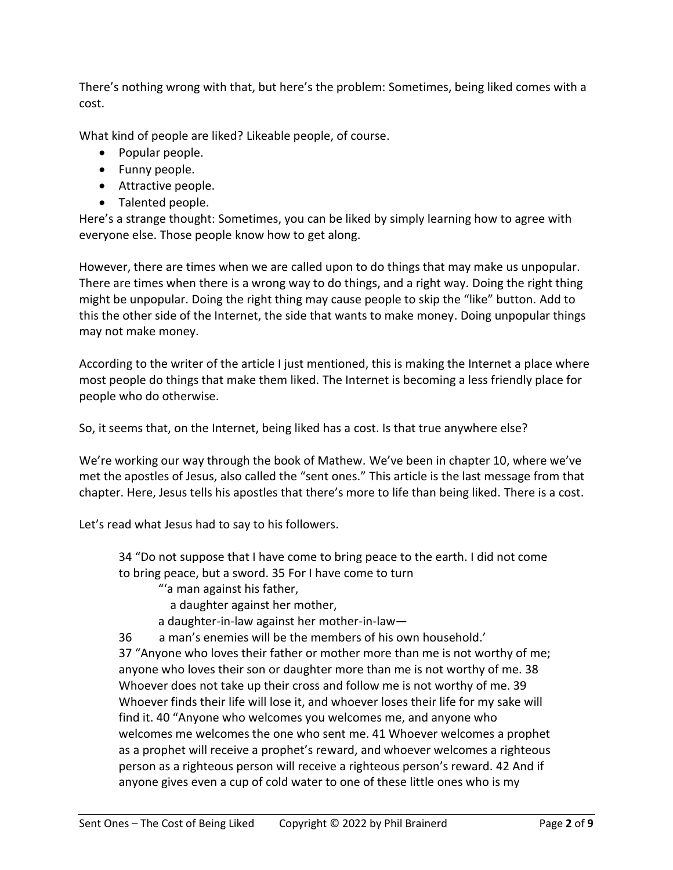There's nothing wrong with that, but here's the problem: Sometimes, being liked comes with a cost.

What kind of people are liked? Likeable people, of course.

- Popular people.
- Funny people.
- Attractive people.
- Talented people.

Here's a strange thought: Sometimes, you can be liked by simply learning how to agree with everyone else. Those people know how to get along.

However, there are times when we are called upon to do things that may make us unpopular. There are times when there is a wrong way to do things, and a right way. Doing the right thing might be unpopular. Doing the right thing may cause people to skip the "like" button. Add to this the other side of the Internet, the side that wants to make money. Doing unpopular things may not make money.

According to the writer of the article I just mentioned, this is making the Internet a place where most people do things that make them liked. The Internet is becoming a less friendly place for people who do otherwise.

So, it seems that, on the Internet, being liked has a cost. Is that true anywhere else?

We're working our way through the book of Mathew. We've been in chapter 10, where we've met the apostles of Jesus, also called the "sent ones." This article is the last message from that chapter. Here, Jesus tells his apostles that there's more to life than being liked. There is a cost.

Let's read what Jesus had to say to his followers.

34 "Do not suppose that I have come to bring peace to the earth. I did not come to bring peace, but a sword. 35 For I have come to turn

"'a man against his father,

- a daughter against her mother,
- a daughter-in-law against her mother-in-law—

36 a man's enemies will be the members of his own household.'

37 "Anyone who loves their father or mother more than me is not worthy of me; anyone who loves their son or daughter more than me is not worthy of me. 38 Whoever does not take up their cross and follow me is not worthy of me. 39 Whoever finds their life will lose it, and whoever loses their life for my sake will find it. 40 "Anyone who welcomes you welcomes me, and anyone who welcomes me welcomes the one who sent me. 41 Whoever welcomes a prophet as a prophet will receive a prophet's reward, and whoever welcomes a righteous person as a righteous person will receive a righteous person's reward. 42 And if anyone gives even a cup of cold water to one of these little ones who is my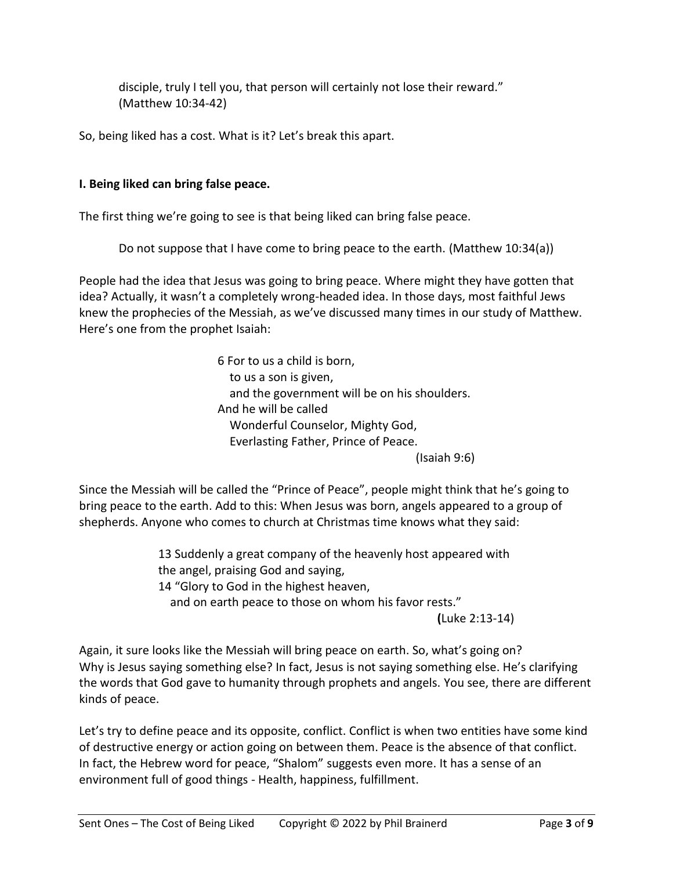disciple, truly I tell you, that person will certainly not lose their reward." (Matthew 10:34-42)

So, being liked has a cost. What is it? Let's break this apart.

## **I. Being liked can bring false peace.**

The first thing we're going to see is that being liked can bring false peace.

Do not suppose that I have come to bring peace to the earth. (Matthew 10:34(a))

People had the idea that Jesus was going to bring peace. Where might they have gotten that idea? Actually, it wasn't a completely wrong-headed idea. In those days, most faithful Jews knew the prophecies of the Messiah, as we've discussed many times in our study of Matthew. Here's one from the prophet Isaiah:

> 6 For to us a child is born, to us a son is given, and the government will be on his shoulders. And he will be called Wonderful Counselor, Mighty God, Everlasting Father, Prince of Peace. (Isaiah 9:6)

Since the Messiah will be called the "Prince of Peace", people might think that he's going to bring peace to the earth. Add to this: When Jesus was born, angels appeared to a group of shepherds. Anyone who comes to church at Christmas time knows what they said:

> 13 Suddenly a great company of the heavenly host appeared with the angel, praising God and saying, 14 "Glory to God in the highest heaven, and on earth peace to those on whom his favor rests." **(**Luke 2:13-14)

Again, it sure looks like the Messiah will bring peace on earth. So, what's going on? Why is Jesus saying something else? In fact, Jesus is not saying something else. He's clarifying the words that God gave to humanity through prophets and angels. You see, there are different kinds of peace.

Let's try to define peace and its opposite, conflict. Conflict is when two entities have some kind of destructive energy or action going on between them. Peace is the absence of that conflict. In fact, the Hebrew word for peace, "Shalom" suggests even more. It has a sense of an environment full of good things - Health, happiness, fulfillment.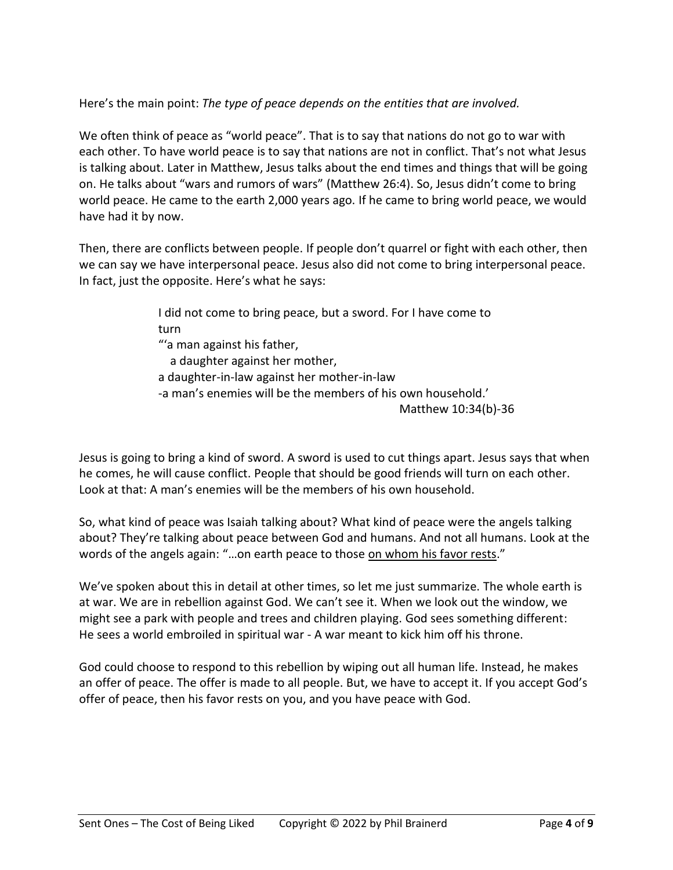Here's the main point: *The type of peace depends on the entities that are involved.*

We often think of peace as "world peace". That is to say that nations do not go to war with each other. To have world peace is to say that nations are not in conflict. That's not what Jesus is talking about. Later in Matthew, Jesus talks about the end times and things that will be going on. He talks about "wars and rumors of wars" (Matthew 26:4). So, Jesus didn't come to bring world peace. He came to the earth 2,000 years ago. If he came to bring world peace, we would have had it by now.

Then, there are conflicts between people. If people don't quarrel or fight with each other, then we can say we have interpersonal peace. Jesus also did not come to bring interpersonal peace. In fact, just the opposite. Here's what he says:

> I did not come to bring peace, but a sword. For I have come to turn "'a man against his father, a daughter against her mother, a daughter-in-law against her mother-in-law -a man's enemies will be the members of his own household.' Matthew 10:34(b)-36

Jesus is going to bring a kind of sword. A sword is used to cut things apart. Jesus says that when he comes, he will cause conflict. People that should be good friends will turn on each other. Look at that: A man's enemies will be the members of his own household.

So, what kind of peace was Isaiah talking about? What kind of peace were the angels talking about? They're talking about peace between God and humans. And not all humans. Look at the words of the angels again: "…on earth peace to those on whom his favor rests."

We've spoken about this in detail at other times, so let me just summarize. The whole earth is at war. We are in rebellion against God. We can't see it. When we look out the window, we might see a park with people and trees and children playing. God sees something different: He sees a world embroiled in spiritual war - A war meant to kick him off his throne.

God could choose to respond to this rebellion by wiping out all human life. Instead, he makes an offer of peace. The offer is made to all people. But, we have to accept it. If you accept God's offer of peace, then his favor rests on you, and you have peace with God.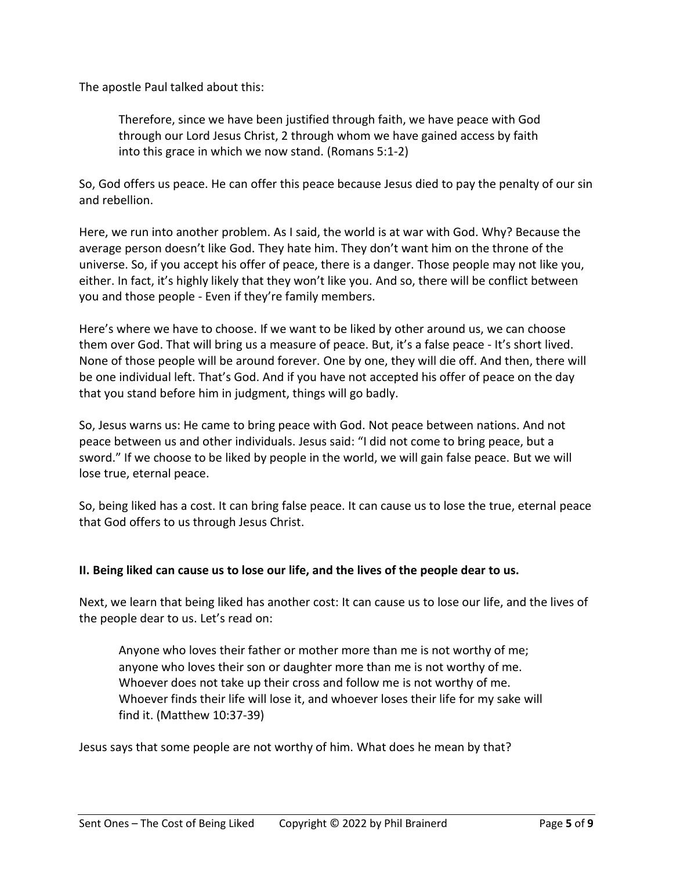The apostle Paul talked about this:

Therefore, since we have been justified through faith, we have peace with God through our Lord Jesus Christ, 2 through whom we have gained access by faith into this grace in which we now stand. (Romans 5:1-2)

So, God offers us peace. He can offer this peace because Jesus died to pay the penalty of our sin and rebellion.

Here, we run into another problem. As I said, the world is at war with God. Why? Because the average person doesn't like God. They hate him. They don't want him on the throne of the universe. So, if you accept his offer of peace, there is a danger. Those people may not like you, either. In fact, it's highly likely that they won't like you. And so, there will be conflict between you and those people - Even if they're family members.

Here's where we have to choose. If we want to be liked by other around us, we can choose them over God. That will bring us a measure of peace. But, it's a false peace - It's short lived. None of those people will be around forever. One by one, they will die off. And then, there will be one individual left. That's God. And if you have not accepted his offer of peace on the day that you stand before him in judgment, things will go badly.

So, Jesus warns us: He came to bring peace with God. Not peace between nations. And not peace between us and other individuals. Jesus said: "I did not come to bring peace, but a sword." If we choose to be liked by people in the world, we will gain false peace. But we will lose true, eternal peace.

So, being liked has a cost. It can bring false peace. It can cause us to lose the true, eternal peace that God offers to us through Jesus Christ.

#### **II. Being liked can cause us to lose our life, and the lives of the people dear to us.**

Next, we learn that being liked has another cost: It can cause us to lose our life, and the lives of the people dear to us. Let's read on:

Anyone who loves their father or mother more than me is not worthy of me; anyone who loves their son or daughter more than me is not worthy of me. Whoever does not take up their cross and follow me is not worthy of me. Whoever finds their life will lose it, and whoever loses their life for my sake will find it. (Matthew 10:37-39)

Jesus says that some people are not worthy of him. What does he mean by that?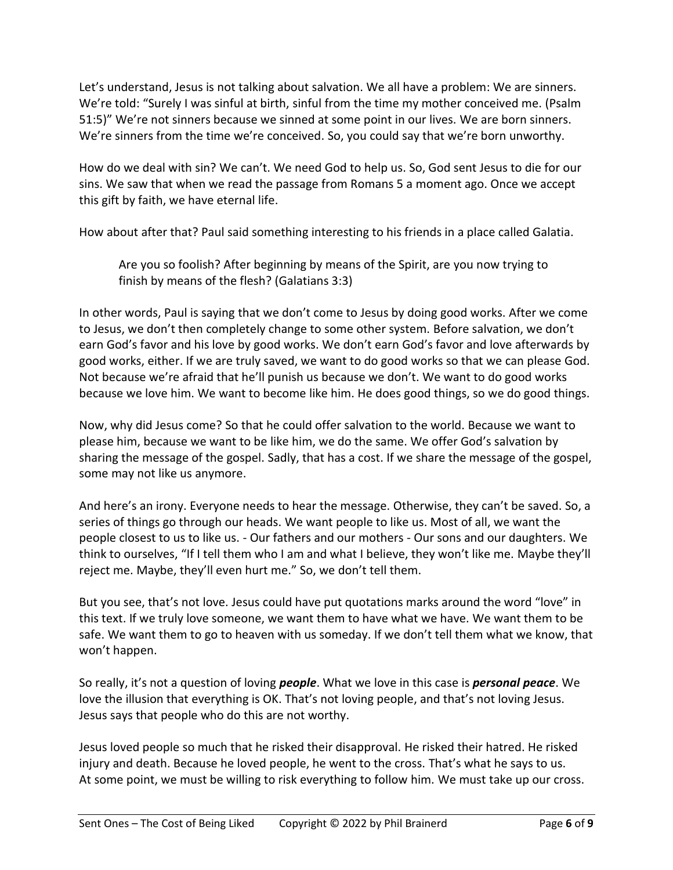Let's understand, Jesus is not talking about salvation. We all have a problem: We are sinners. We're told: "Surely I was sinful at birth, sinful from the time my mother conceived me. (Psalm 51:5)" We're not sinners because we sinned at some point in our lives. We are born sinners. We're sinners from the time we're conceived. So, you could say that we're born unworthy.

How do we deal with sin? We can't. We need God to help us. So, God sent Jesus to die for our sins. We saw that when we read the passage from Romans 5 a moment ago. Once we accept this gift by faith, we have eternal life.

How about after that? Paul said something interesting to his friends in a place called Galatia.

Are you so foolish? After beginning by means of the Spirit, are you now trying to finish by means of the flesh? (Galatians 3:3)

In other words, Paul is saying that we don't come to Jesus by doing good works. After we come to Jesus, we don't then completely change to some other system. Before salvation, we don't earn God's favor and his love by good works. We don't earn God's favor and love afterwards by good works, either. If we are truly saved, we want to do good works so that we can please God. Not because we're afraid that he'll punish us because we don't. We want to do good works because we love him. We want to become like him. He does good things, so we do good things.

Now, why did Jesus come? So that he could offer salvation to the world. Because we want to please him, because we want to be like him, we do the same. We offer God's salvation by sharing the message of the gospel. Sadly, that has a cost. If we share the message of the gospel, some may not like us anymore.

And here's an irony. Everyone needs to hear the message. Otherwise, they can't be saved. So, a series of things go through our heads. We want people to like us. Most of all, we want the people closest to us to like us. - Our fathers and our mothers - Our sons and our daughters. We think to ourselves, "If I tell them who I am and what I believe, they won't like me. Maybe they'll reject me. Maybe, they'll even hurt me." So, we don't tell them.

But you see, that's not love. Jesus could have put quotations marks around the word "love" in this text. If we truly love someone, we want them to have what we have. We want them to be safe. We want them to go to heaven with us someday. If we don't tell them what we know, that won't happen.

So really, it's not a question of loving *people*. What we love in this case is *personal peace*. We love the illusion that everything is OK. That's not loving people, and that's not loving Jesus. Jesus says that people who do this are not worthy.

Jesus loved people so much that he risked their disapproval. He risked their hatred. He risked injury and death. Because he loved people, he went to the cross. That's what he says to us. At some point, we must be willing to risk everything to follow him. We must take up our cross.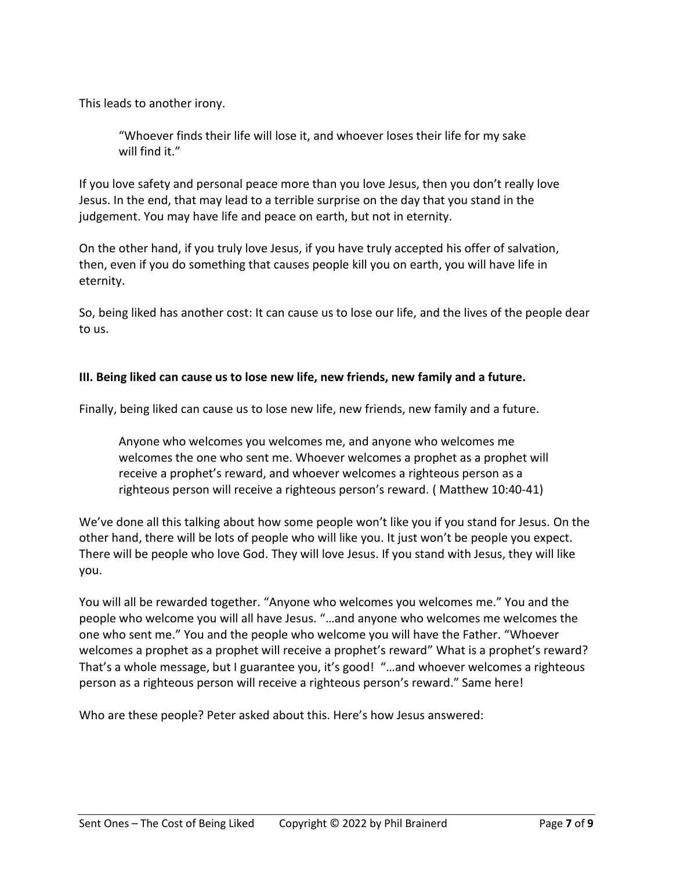This leads to another irony.

"Whoever finds their life will lose it, and whoever loses their life for my sake will find it."

If you love safety and personal peace more than you love Jesus, then you don't really love Jesus. In the end, that may lead to a terrible surprise on the day that you stand in the judgement. You may have life and peace on earth, but not in eternity.

On the other hand, if you truly love Jesus, if you have truly accepted his offer of salvation, then, even if you do something that causes people kill you on earth, you will have life in eternity.

So, being liked has another cost: It can cause us to lose our life, and the lives of the people dear to us.

### **III. Being liked can cause us to lose new life, new friends, new family and a future.**

Finally, being liked can cause us to lose new life, new friends, new family and a future.

Anyone who welcomes you welcomes me, and anyone who welcomes me welcomes the one who sent me. Whoever welcomes a prophet as a prophet will receive a prophet's reward, and whoever welcomes a righteous person as a righteous person will receive a righteous person's reward. ( Matthew 10:40-41)

We've done all this talking about how some people won't like you if you stand for Jesus. On the other hand, there will be lots of people who will like you. It just won't be people you expect. There will be people who love God. They will love Jesus. If you stand with Jesus, they will like you.

You will all be rewarded together. "Anyone who welcomes you welcomes me." You and the people who welcome you will all have Jesus. "…and anyone who welcomes me welcomes the one who sent me." You and the people who welcome you will have the Father. "Whoever welcomes a prophet as a prophet will receive a prophet's reward" What is a prophet's reward? That's a whole message, but I guarantee you, it's good! "…and whoever welcomes a righteous person as a righteous person will receive a righteous person's reward." Same here!

Who are these people? Peter asked about this. Here's how Jesus answered: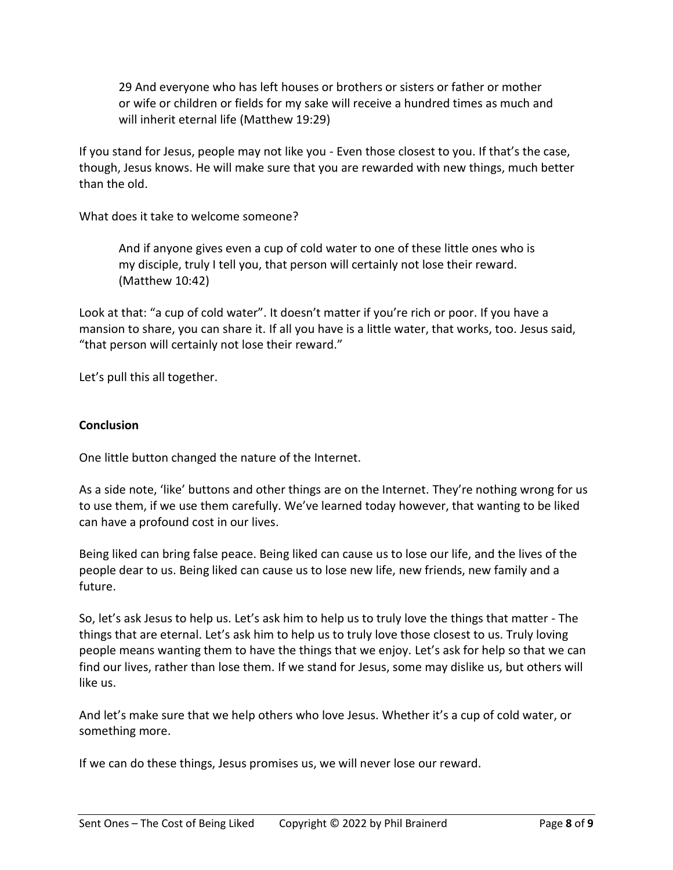29 And everyone who has left houses or brothers or sisters or father or mother or wife or children or fields for my sake will receive a hundred times as much and will inherit eternal life (Matthew 19:29)

If you stand for Jesus, people may not like you - Even those closest to you. If that's the case, though, Jesus knows. He will make sure that you are rewarded with new things, much better than the old.

What does it take to welcome someone?

And if anyone gives even a cup of cold water to one of these little ones who is my disciple, truly I tell you, that person will certainly not lose their reward. (Matthew 10:42)

Look at that: "a cup of cold water". It doesn't matter if you're rich or poor. If you have a mansion to share, you can share it. If all you have is a little water, that works, too. Jesus said, "that person will certainly not lose their reward."

Let's pull this all together.

#### **Conclusion**

One little button changed the nature of the Internet.

As a side note, 'like' buttons and other things are on the Internet. They're nothing wrong for us to use them, if we use them carefully. We've learned today however, that wanting to be liked can have a profound cost in our lives.

Being liked can bring false peace. Being liked can cause us to lose our life, and the lives of the people dear to us. Being liked can cause us to lose new life, new friends, new family and a future.

So, let's ask Jesus to help us. Let's ask him to help us to truly love the things that matter - The things that are eternal. Let's ask him to help us to truly love those closest to us. Truly loving people means wanting them to have the things that we enjoy. Let's ask for help so that we can find our lives, rather than lose them. If we stand for Jesus, some may dislike us, but others will like us.

And let's make sure that we help others who love Jesus. Whether it's a cup of cold water, or something more.

If we can do these things, Jesus promises us, we will never lose our reward.